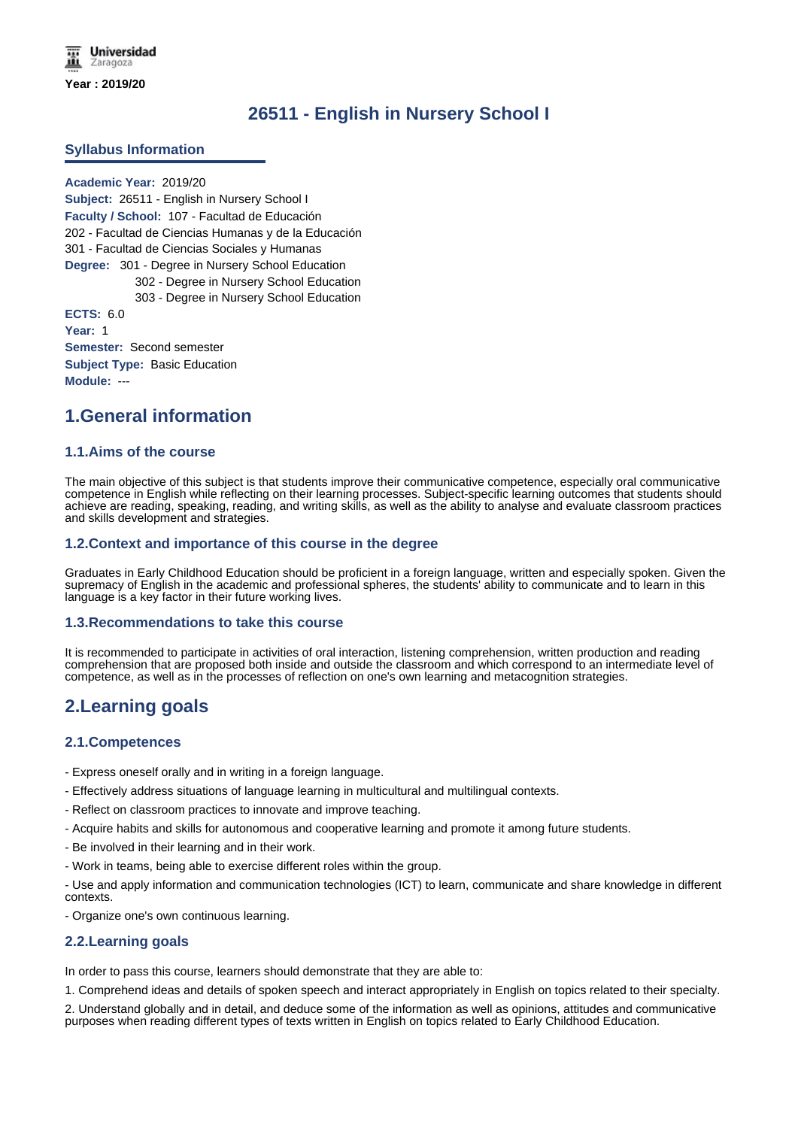# **26511 - English in Nursery School I**

## **Syllabus Information**

**Academic Year:** 2019/20 **Subject:** 26511 - English in Nursery School I **Faculty / School:** 107 - Facultad de Educación 202 - Facultad de Ciencias Humanas y de la Educación 301 - Facultad de Ciencias Sociales y Humanas **Degree:** 301 - Degree in Nursery School Education 302 - Degree in Nursery School Education 303 - Degree in Nursery School Education **ECTS:** 6.0 **Year:** 1 **Semester:** Second semester **Subject Type:** Basic Education

**Module:** ---

## **1.General information**

### **1.1.Aims of the course**

The main objective of this subject is that students improve their communicative competence, especially oral communicative competence in English while reflecting on their learning processes. Subject-specific learning outcomes that students should achieve are reading, speaking, reading, and writing skills, as well as the ability to analyse and evaluate classroom practices and skills development and strategies.

### **1.2.Context and importance of this course in the degree**

Graduates in Early Childhood Education should be proficient in a foreign language, written and especially spoken. Given the supremacy of English in the academic and professional spheres, the students' ability to communicate and to learn in this language is a key factor in their future working lives.

#### **1.3.Recommendations to take this course**

It is recommended to participate in activities of oral interaction, listening comprehension, written production and reading comprehension that are proposed both inside and outside the classroom and which correspond to an intermediate level of competence, as well as in the processes of reflection on one's own learning and metacognition strategies.

## **2.Learning goals**

## **2.1.Competences**

- Express oneself orally and in writing in a foreign language.
- Effectively address situations of language learning in multicultural and multilingual contexts.
- Reflect on classroom practices to innovate and improve teaching.
- Acquire habits and skills for autonomous and cooperative learning and promote it among future students.
- Be involved in their learning and in their work.
- Work in teams, being able to exercise different roles within the group.

- Use and apply information and communication technologies (ICT) to learn, communicate and share knowledge in different contexts.

- Organize one's own continuous learning.

## **2.2.Learning goals**

In order to pass this course, learners should demonstrate that they are able to:

1. Comprehend ideas and details of spoken speech and interact appropriately in English on topics related to their specialty.

2. Understand globally and in detail, and deduce some of the information as well as opinions, attitudes and communicative purposes when reading different types of texts written in English on topics related to Early Childhood Education.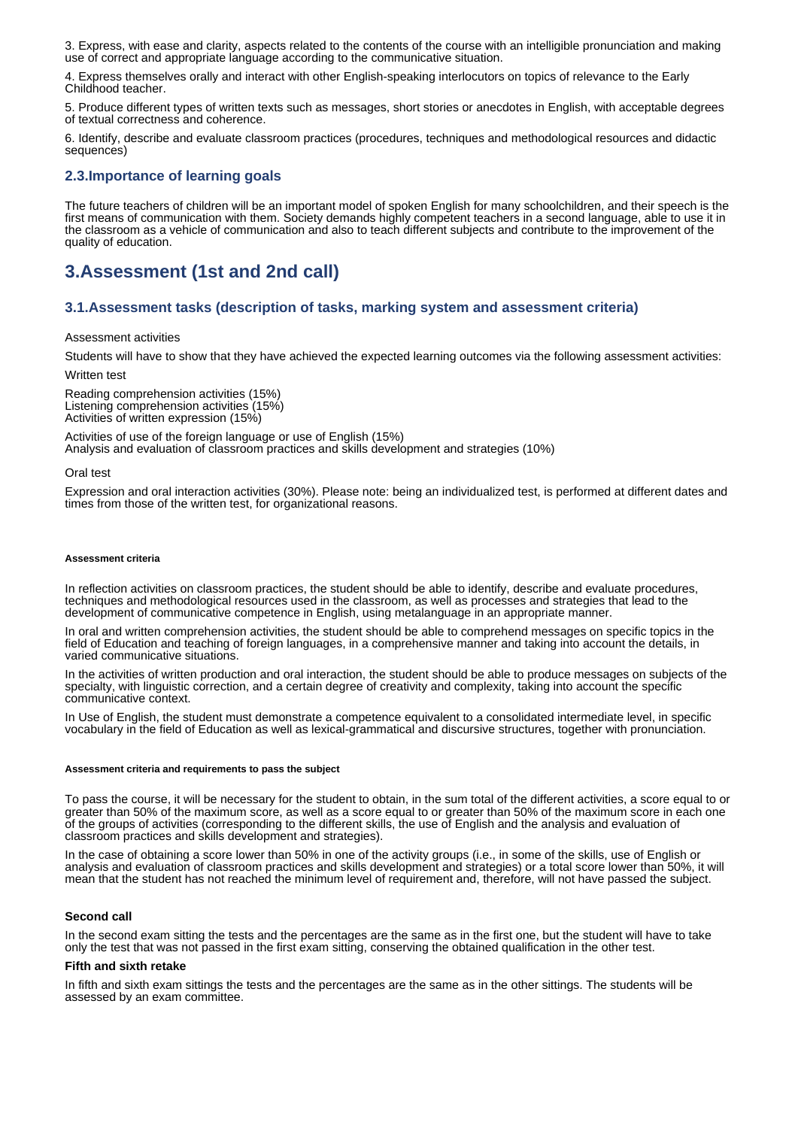3. Express, with ease and clarity, aspects related to the contents of the course with an intelligible pronunciation and making use of correct and appropriate language according to the communicative situation.

4. Express themselves orally and interact with other English-speaking interlocutors on topics of relevance to the Early Childhood teacher.

5. Produce different types of written texts such as messages, short stories or anecdotes in English, with acceptable degrees of textual correctness and coherence.

6. Identify, describe and evaluate classroom practices (procedures, techniques and methodological resources and didactic sequences)

## **2.3.Importance of learning goals**

The future teachers of children will be an important model of spoken English for many schoolchildren, and their speech is the first means of communication with them. Society demands highly competent teachers in a second language, able to use it in the classroom as a vehicle of communication and also to teach different subjects and contribute to the improvement of the quality of education.

# **3.Assessment (1st and 2nd call)**

### **3.1.Assessment tasks (description of tasks, marking system and assessment criteria)**

Assessment activities

Students will have to show that they have achieved the expected learning outcomes via the following assessment activities:

Written test

Reading comprehension activities (15%) Listening comprehension activities (15%) Activities of written expression (15%)

Activities of use of the foreign language or use of English (15%) Analysis and evaluation of classroom practices and skills development and strategies (10%)

#### Oral test

Expression and oral interaction activities (30%). Please note: being an individualized test, is performed at different dates and times from those of the written test, for organizational reasons.

#### **Assessment criteria**

In reflection activities on classroom practices, the student should be able to identify, describe and evaluate procedures, techniques and methodological resources used in the classroom, as well as processes and strategies that lead to the development of communicative competence in English, using metalanguage in an appropriate manner.

In oral and written comprehension activities, the student should be able to comprehend messages on specific topics in the field of Education and teaching of foreign languages, in a comprehensive manner and taking into account the details, in varied communicative situations.

In the activities of written production and oral interaction, the student should be able to produce messages on subjects of the specialty, with linguistic correction, and a certain degree of creativity and complexity, taking into account the specific communicative context.

In Use of English, the student must demonstrate a competence equivalent to a consolidated intermediate level, in specific vocabulary in the field of Education as well as lexical-grammatical and discursive structures, together with pronunciation.

#### **Assessment criteria and requirements to pass the subject**

To pass the course, it will be necessary for the student to obtain, in the sum total of the different activities, a score equal to or greater than 50% of the maximum score, as well as a score equal to or greater than 50% of the maximum score in each one of the groups of activities (corresponding to the different skills, the use of English and the analysis and evaluation of classroom practices and skills development and strategies).

In the case of obtaining a score lower than 50% in one of the activity groups (i.e., in some of the skills, use of English or analysis and evaluation of classroom practices and skills development and strategies) or a total score lower than 50%, it will mean that the student has not reached the minimum level of requirement and, therefore, will not have passed the subject.

#### **Second call**

In the second exam sitting the tests and the percentages are the same as in the first one, but the student will have to take only the test that was not passed in the first exam sitting, conserving the obtained qualification in the other test.

#### **Fifth and sixth retake**

In fifth and sixth exam sittings the tests and the percentages are the same as in the other sittings. The students will be assessed by an exam committee.